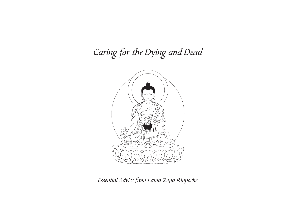# Caring for the Dying and Dead



Essential Advice from Lama Zopa Rinpoche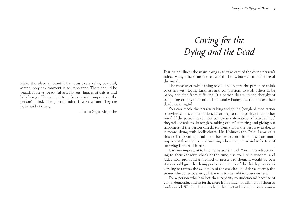# Caring for the Dying and the Dead

During an illness the main thing is to take care of the dying person's mind. Many others can take care of the body, but we can take care of the mind.

The most worthwhile thing to do is to inspire the person to think of others with loving kindness and compassion, to wish others to be happy and free from suffering. If a person dies with the thought of benefiting others, their mind is naturally happy and this makes their death meaningful.

You can teach the person taking-and-giving (tonglen) meditation or loving kindness meditation, according to the capacity of his or her mind. If the person has a more compassionate nature, a "brave mind," they will be able to do tonglen, taking others' suffering and giving out happiness. If the person can do tonglen, that is the best way to die, as it means dying with bodhichitta. His Holiness the Dalai Lama calls this a self-supporting death. For those who don't think others are more important than themselves, wishing others happiness and to be free of suffering is more difficult.

It is very important to know a person's mind. You can teach according to their capacity: check at the time, use your own wisdom, and judge how profound a method to present to them. It would be best if you could give the dying person some idea of the death process according to tantra: the evolution of the dissolution of the elements, the senses, the consciousness, all the way to the subtle consciousness.

For a person who has lost their capacity to understand because of coma, dementia, and so forth, there is not much possibility for them to understand. We should aim to help them get at least a precious human

Make the place as beautiful as possible; a calm, peaceful, serene, holy environment is so important. There should be beautiful views, beautiful art, flowers, images of deities and holy beings. The point is to make a positive imprint on the person's mind. The person's mind is elevated and they are not afraid of dying.

– Lama Zopa Rinpoche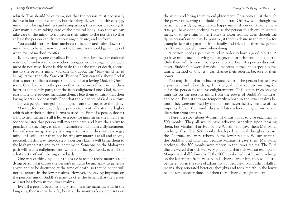#### 4 Caring for the Dying and Dead 5 Security 2 and Dead 5 Security 2 and Dead 5 Security 2 and Dead 5 Security 2 and Dead 5 Security 2 and Dead 5 Security 2 and Dead 5 Security 2 and Dead 5 Security 2 and Dead 5 Security 2 a

rebirth. This should be our aim, not that the person must necessarily believe in karma, for example, but that they die with a positive, happy mind, with loving kindness and compassion; this is our precious gift. Our main aim in taking care of the physical body is so that we can take care of the mind, to transform their mind to the positive so that at least the person can die without anger, desire, and so forth.

You should learn various methods to benefit and calm down the mind, and to benefit now and in the future. You should get an idea of what level of method to offer.

If, for example, one visualizes Buddha or watches the conventional nature of mind – its clarity – other thoughts such as anger and attachment do not arise. If one is able to do this at the time of death, according to the person's mind, you can talk about the "fully enlightened being" rather than the Sanskrit "Buddha." You can talk about God if that is more skillful: a compassionate God or a loving God, or Omniscient One. Explain to the person that the nature of their mind, their heart, is completely pure; that the fully enlightened one, God, is compassionate to everyone, including them. Help them to think that their loving heart is oneness with God, that the kingdom of God is within. This frees people from guilt and anger, from their negative thoughts.

Mantra, for example, helps a person to eventually attain a higher rebirth after their positive karma is used up. Even if a person doesn't want to hear mantra, still it leaves a positive imprint on the min. Then sooner or later that person will meet the path and have the ability to practice the teachings, to clear obscurations and attain enlightenment. Even if someone gets angry hearing mantras and dies with an angry mind, it is still better than not hearing any mantras at all and staying peaceful. In this way, step-by-step, a person's karma will bring them to the Mahayana path and to enlightenment. Someone on the Mahayana path will attain enlightenment, while an arhat gets stuck, even if the arhat starts off with the higher rebirth.

One way of thinking about this issue is to not recite mantras to a dying person if it causes the person's mind to be unhappy, to generate anger, and to be disturbed at the time of death, so that he or she will not be reborn in the lower realms. However, by leaving imprints on the person's mind, Buddha's mantras offer the benefit that the person will not be reborn in the lower realms.

Even if a person becomes angry from hearing mantras, still, in the long run, they receive benefit, because the mantras leave imprints on

the mind and bring them to enlightenment. This comes just through the power of hearing the Buddha's mantras. Otherwise, although the person who is dying may have a happy mind, if you don't recite mantras, you have done nothing to cause the person to achieve enlightenment, or to save him or her from the lower realms. Even though the dying person's mind may be positive, if there is desire in the mind — for example, fear of separation from family and friends — then the person won't have a peaceful mind when dying.

A person needs a positive mind in order to have a good rebirth. A positive mind means having non-anger, non-attachment, and so forth. Only then will the result be a good rebirth. Even if a person dies with anger, Buddha's powerful words — mantras, sutras, and especially the tantric method of jangwa — can change their rebirth, because of their power.

You may think that to have a good rebirth, the person has to have a positive mind when dying. But the goal, what you are wishing for, is for the person to achieve enlightenment. This comes from leaving imprints on the person's mind from the power of Buddha's mantras, and so on. Even if they are temporarily reborn in the lower realms because they were annoyed by the mantras, nevertheless, because of the imprints left on the mind, they will later achieve enlightenment and liberation from samsara.

There is a story about Wusun, who was about to give teachings to 500 monks. They all would have achieved arhatship upon hearing them, but Manjushri arrived before Wusun, and gave them Mahayana teachings first. The 500 monks developed heretical thoughts toward the Dharma, and were reborn in the lower realms. Wusun went to the Buddha, and said that because Manjushri gave them Mahayana teachings, the 500 monks were reborn in the lower realms. The Buddha answered that this was very good, and that this was an example of Manjushri's skillful means. If the 500 monks had just heard teachings on the lesser path from Wusan and achieved arhatship, they would still be there now in the state of arhatship, but because of Manjushri's skillful means, they generated heretical thoughts and took rebirth in the lower realms for a shorter time, and then they achieved enlightenment.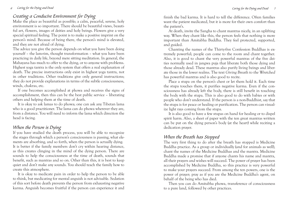### Creating a Conducive Environment for Dying

Make the place as beautiful as possible; a calm, peaceful, serene, holy environment is so important. There should be beautiful views, beautiful art, flowers, images of deities and holy beings. Flowers give a very special spiritual feeling. The point is to make a positive imprint on the person's mind. Because of being there, the person's mind is elevated, and they are not afraid of dying.

The advice you give the person depends on what you have been doing yourself – the lam-rim, thought transformation – what you have been practicing in daily life, beyond mere sitting meditation. In general, the Mahayana has much to offer to the dying, or to anyone with problems. Highest yoga tantra is the only system that offers a real explanation of death. The precise instructions only exist in highest yoga tantra, not in other traditions. Other traditions give only general instructions; they do not provide explanations in terms of the subtle consciousness, winds, chakras, etc.

If one becomes accomplished at phowa and receives the signs of accomplishment, then this can be the best public service – liberating others and helping them at the time of death.

It is okay to ask lamas to do phowa; one can ask any Tibetan lama who is a good practitioner. The lama can do phowa wherever they are, from a distance. You will need to inform the lama which direction the head is facing.

### When the Person is Dying

If you have studied the death process, you will be able to recognize the stages through which a person's consciousness is passing, what elements are absorbing, and so forth, when the person is actually dying. It is better if the family members don't cry within hearing distance, as this creates clinging in the mind of the dying person. There are sounds to help the consciousness at the time of death, sounds that benefit, such as mantras and so on. Other than this, it is best to keep quiet and don't make any sounds. You should teach the family how to create this atmosphere.

It is okay to medicate pain in order to help the person to be able to think, but medicating for mental anguish is not advisable. Sedation of this sort before death prevents the person from exhausting negative karma. Anguish becomes fruitful if the person can experience it and

finish the bad karma. It is hard to tell the difference. Often families want the patient medicated, but it is more for their own comfort than the patient's.

At death, invite the Sangha to chant mantras nicely, in an uplifting way. When they chant like this, the person feels that nothing is more important than Amitabha Buddha. They feel protected, supported, and guided.

Chanting the names of the Thirty-five Confession Buddhas is extremely powerful; people can come to the room and chant together. Also, it is good to chant the very powerful mantras of the five deities normally used in jangwa puja that liberate both those dying and those already dead. These mantras also purify living beings and liberate those in the lower realms. The text Giving Breath to the Wretched has powerful mantras and is also good to recite.

Place a stupa on the person's chest or let them hold it. Each time the stupa touches them, it purifies negative karma. Even if the consciousness has already left the body, there is still benefit in touching the body with the stupa. This is also good to do with babies or with people who don't understand. If the person is a non-Buddhist, say that the stupa is for peace or healing or purification. The person can visualize light rays coming from the stupa.

It is also good to have a few stupas on hand for healing or to dispel spirit harm. Also, a sheet of paper with the ten great mantras written can be put on the dying person's body (at the heart) while reciting a dedication prayer.

#### When the Breath has Stopped

The very first thing to do after the breath has stopped is Medicine Buddha practice. As a group or individually (and for animals as well), chant the names of the Medicine Buddhas and the mantra. Medicine Buddha made a promise that if anyone chants his name and mantra, all their prayers and wishes will succeed. The power of prayer has been accomplished by Medicine Buddha, so this practice is very powerful to make your prayers succeed. From among the ten powers, one is the power of prayer; pray as if you are the Medicine Buddha's agent, on behalf of the being who has died.

Then you can do Amitabha phowa, transference of consciousness to a pure land, followed by other practices.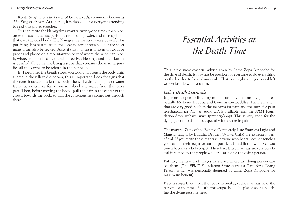#### 8 Saving for the Dying and Dead **9** Essential Activities 9

Recite Sang Chö, The Prayer of Good Deeds, commonly known as The King of Prayers. At funerals, it is also good for everyone attending to read this prayer together.

You can recite the Namgyälma mantra twenty-one times, then blow on water, sesame seeds, perfume, or talcum powder, and then sprinkle that over the dead body. The Namgyälma mantra is very powerful for purifying. It is best to recite the long mantra if possible, but the short mantra can also be recited. Also, if this mantra is written on cloth or paper and placed on a mountaintop or roof where the wind can blow it, whoever is touched by the wind receives blessings and their karma is purified. Circumambulating a stupa that contains the mantra purifies all the karma to be reborn in the hot hells.

In Tibet, after the breath stops, you would not touch the body until a lama in the village did phowa; this is important. Look for signs that the consciousness has left the body: the white drop, like pus or water from the nostril, or for a woman, blood and water from the lower part. Then, before moving the body, pull the hair in the center of the crown towards the back, so that the consciousness comes out through there.

#### Essential Activities

# Essential Activities at the Death Time

This is the most essential advice given by Lama Zopa Rinpoche for the time of death. It may not be possible for everyone to do everything on the list due to lack of materials. That is all right and you shouldn't worry; just do what you can.

#### Before Death Essentials

If person is open to listening to mantras, any mantras are good – especially Medicine Buddha and Compassion Buddha. There are a few that are very good, such as the mantras for pain and the sutra for pain (Recitations for Pain, an audio CD, is available from the FPMT Foundation Store website, www.fpmt.org/shop). This is very good for the dying person to listen to, especially if they are in pain.

The mantras Zung of the Exalted Completely Pure Stainless Light and Mantra Taught by Buddha Droden Gyalwa Chhö are extremely beneficial. If you recite these mantras, anyone who hears, sees, or touches you has all their negative karma purified. In addition, whatever you touch becomes a holy object. Therefore, these mantras are very beneficial if recited by the people who are caring for the dying person.

Put holy mantras and images in a place where the dying person can see them. (The FPMT Foundation Store carries a Card for a Dying Person, which was personally designed by Lama Zopa Rinpoche for maximum benefit).

Place a stupa filled with the four dharmakaya relic mantras near the person. At the time of death, this stupa should be placed so it is touching the dying person's head.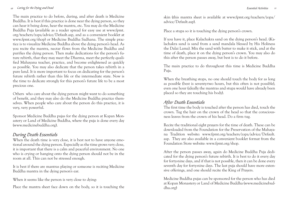#### 10 Caring for the Dying and Dead **11 Caring for the Dying and Dead 11** Essential Activities 11

The main practice to do before, during, and after death is Medicine Buddha. It is best if this practice is done near the dying person, so they can hear it being done, hear the mantra, etc. You may do the Medicine Buddha Puja (available as a reader spread for easy use at www.fpmt. org/teachers/zopa/advice/Default.asp, and as a convenient booklet at www.fpmt.org/shop) or Medicine Buddha Sadhana. The simple practice is to visualize Medicine Buddha above the dying person's head. As you recite the mantra, nectar flows from the Medicine Buddha and purifies the dying person. Then make dedications for the person's future rebirth, that they may meet the Dharma, meet the perfectly qualified Mahayana teacher, practice, and become enlightened as quickly as possible. You may also dedicate that the person takes rebirth in a pure land. It is more important to focus on dedicating for the person's future rebirth rather than this life or the intermediate state. Now is the time to dedicate strongly for this person's future life to be a most precious one.

Others who care about the dying person might want to do something of benefit, and they may also do the Medicine Buddha practice themselves. When people who care about the person do this practice, it is very, very powerful.

Sponsor Medicine Buddha pujas for the dying person at Kopan Monastery or Land of Medicine Buddha, where the puja is done every day (www.medicinebuddha.org).

#### During Death Essentials

When the death time is very close, it is best not to have anyone emotional around the dying person. Especially as the time grows very close, it is important that there is a calm and peaceful environment. No one who is crying or hanging onto the dying person should not be in the room at all. This can not be stressed enough.

It is best if there are mantras playing or someone is reciting Medicine Buddha mantra in the dying person's ear.

When it seems like the person is very close to dying:

Place the mantra sheet face down on the body, so it is touching the

skin (this mantra sheet is available at www.fpmt.org/teachers/zopa/ advice/Default.asp).

Place a stupa so it is touching the dying person's crown.

If you have it, place Kalachakra sand on the dying person's head. (Kalachakra sand is sand from a sand mandala blessed by His Holiness the Dalai Lama). Mix the sand with butter to make it stick, and at the time of death, place it on the dying person's crown. You may also do this after the person passes away, but best is to do it before.

The main practice to do throughout this time is Medicine Buddha Puja.

When the breathing stops, no one should touch the body for as long as possible (best is seventy-two hours, but this often is not possible), even one hour (ideally the mantras and stupa would have already been <sup>p</sup>laced so they are touching his body).

#### After Death Essentials

The first time the body is touched after the person has died, touch the crown. Tug the hair on the crown of the head so that the consciousness leaves from the crown of his head. Do a firm tug.

Recite the traditional eight prayers for the time of death. These can be downloaded from the Foundation for the Preservation of the Mahayana Tradition website: www.fpmt.org/teachers/zopa/advice/Default. asp. They are also available in a convenient booklet format from the Foundation Store website: www.fpmt.org/shop.

After the person passes away, again do Medicine Buddha Puja dedicated for the dying person's future rebirth. It is best to do it every day for forty-nine days, and if that is not possible, then it can be done every seventh day for forty-nine days. The last puja should have more extensive offerings, and one should recite the King of Prayers.

Medicine Buddha pujas can be sponsored for the person who has died at Kopan Monastery or Land of Medicine Buddha (www.medicinebuddha.org)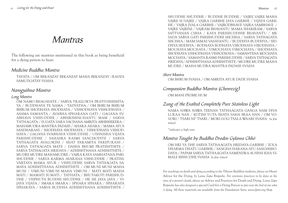## Mantras

The following are mantras mentioned in this book as being beneficial for a dying person to hear:

#### Medicine Buddha Mantra

TAYATA / OM BEKANZAY BEKANZAY MAHA BEKANZAY /RADZA SAMUDGATAY SVAHA

#### Namgyälma Mantra

#### Long Mantra

OM NAMO BHAGAVATE / SARVA TRAILOKYA PRATIVISHISHTA-YA / BUDDHAYA TE NAMA / TADYATHA / OM BHRUM BHRUM BHRUM SHODHAYA SHODHAYA / VISHODHAYA VISHODHAYA / ASAMA SAMANTA / AVABHA SPHARANA GATI / GAGANA SV-ABHAVA VISHUDDHE / ABHIKSHINCHANTU MAM / SARVA TATHAGATA / SUGATA VARA VACHANA AMRITA ABHISHEKERA / MAHAMUDRA MANTRA PADAIH / AHARA AHARA / MAMA AYUS SANDHARANI / SHODHAYA SHODHAYA / VISHODHAYA VISHOD-HAYA / GAGANA SVABHAVA VISHUDDHE / USHNISHA VIJAYA PARISHUDDHE / SAHASRA RASMI SANCHODITE / SARVA TATHAGATA AVALOKINI / SHAT PARAMITA PARIPURANI / SARVA TATHAGATA MATE / DASHA BHUMI PRATISHTHITE / SARVA TATHAGATA HRIDAYA / ADHISHTHANA ADHISHTHITE / MUDRE MUDRE MAHAMUDRE / VAJRA KAYA SAMHATANA PARI-SHUDDHE / SARVA KARMA AVARANA VISHUDDHE / PRATINI-VARTAYA MAMA AYUR / VISHUDDHE SARVA TATHAGATA SA-MAYA ADHISHTHANA ADHISHTHITE / OM MUNI MUNI MAHA MUNI / VIMUNI VIMUNI MAHA VIMUNI / MATI MATI MAHA MATI / MAMATI SUMATI / TATHATA / BHUTAKOTI PARISHUD-DHE / VISPHUTA BUDDHI SHUDDHE / HE HE JAYA JAYA / VI-JAYA VIJAYA / SMARA SMARA / SPHARA SPHARA / SPHARAYA SPHARAYA / SARVA BUDDHA ADHISHTHANA ADHISHTHITE /

SHUDDHE SHUDDHE / BUDDHE BUDDHE / VAJRE VAJRE MAHA VAJRE SUVAJRE / VAJRA GARBHE JAYA GARBHE / VIJAYA GARB-HE / VAJRA JVALA GARBHE / VAJRODBHAVE VAJRA SAMBHAVE / VAJRE VAJRINI / VAJRAM BHAVANTU MAMA SHARIRAM / SARVA SATTVANAN CHHA / KAYA PARISHUDDHIR BHAVANTU / ME SADA SARVA GATI PARISHUDDHI SHCHHA / SARVA TATHAGATA SHCHHA / MAM SAMAS VASAYANTU / BUDDHYA BUDDHYA / SID-DHYA SIDDHYA / BODHAYA BODHAYA VIBODHAYA VIBODHAYA / MOCHAYA MOCHAYA / VIMOCHAYA VIMOCHAYA / SHODHAYA SHODHAYA VISHODHAYA VISHODHAYA / SAMANTENA MOCHAYA MOCHAYA / SAMANTA RASMI PARISHUDDHE / SARVA TATHAGATA HRIDAYA / ADHISHTHANA ADHISHTHITE / MUDRE MUDRE MAHA MUDRE / MAHA MUDRA MANTRA PADAIH SVAHA

#### Short Mantra

OM BHRUM SVAHA / OM AMRITA AYUR DADE SVAHA

#### Compassion Buddha Mantra (Chenrezig)

OM MANI PÄDME HUM

#### Zung of the Exalted Completely Pure Stainless Light

NAMA NAWA NAWA TEENAN TATHAAGATA GANGA NAM DIVA LUKAA NAN / KOTINI YUTA SHATA SAHA SRAA NAN / OM VO-VORI / TSARI NI\* TSARI / MORI GOLI TSALA WAARI SVAHA *(a few times)*

*\*indicates a high tone*

#### Mantra Taught by Buddha Droden Gylawa Chhö

OM HRI YA DHE SARVA TATHAAGATA HRIDAYA GARBHE / ZOLA DHARMA DHATU GARBHE / SANGHA HARANA AYU SANGHSHO-DAYA / PAPAM SARVA TATHAAGATA SAMENDRA AUSHNI KHA VI-MALE BISHUDHE SVAHA *(a few times)*

*For teachings on death and dying according to the Tibetan Buddhist tradition, please see* Heart Advice for the Dying*, by Lama Zopa Rinpoche. For extensive practices to be done at the time of a person's death, please see* Advice and Practices for Death and Dying*. Lama Zopa Rnipoche has also designed a special* Card for a Dying Person *to put near the bed of one who is dying. All these materials are available from the Foundation Store, www.fpmt.org/shop.*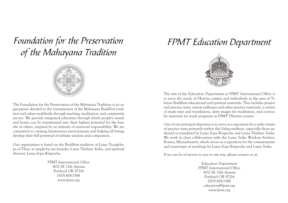Foundation for the Preservation of the Mahayana Tradition



Our organization is based on the Buddhist tradition of Lama Tsongkhapa of Tibet, as taught by our founder, Lama Thubten Yeshe, and spiritual director, Lama Zopa Rinpoche.

> FPMT International Office1632 SE 11th AvenuePortland OR 97214 (503) 808-1588 www.fpmt.org

## FPMT Education Department



The aim of the Education Department at FPMT International Office is to serve the needs of Dharma centers and individuals in the area of Tibetan Buddhist educational and spiritual materials. This includes prayers and practice texts, retreat sadhanas and other practice materials, a variety of study texts and translations, deity images for meditation, and curricular materials for study programs in FPMT Dharma centers.

One of our principal objectives is to serve as a repository for a wide variety of practice texts primarily within the Gelug tradition, especially those authored or translated by Lama Zopa Rinpoche and Lama Thubten Yeshe. We work in close collaboration with the Lama Yeshe Wisdom Archive, Boston, Massachusetts, which serves as a repository for the commentaries and transcripts of teachings by Lama Zopa Rinpoche and Lama Yeshe.

If we can be of service to you in any way, please contact us at:

Education Department FPMT International Office1632 SE 11th AvenuePortland OR 97214 (503) 808-1588 education@fpmt.org www.fpmt.org